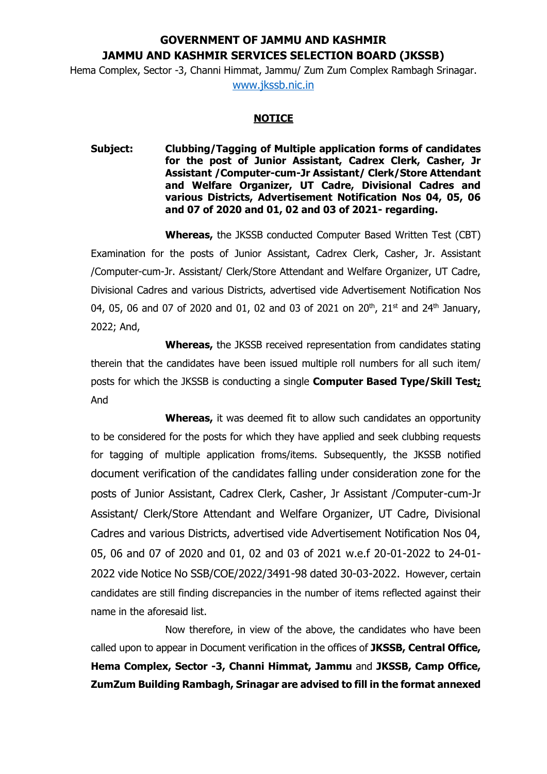## **GOVERNMENT OF JAMMU AND KASHMIR JAMMU AND KASHMIR SERVICES SELECTION BOARD (JKSSB)**

Hema Complex, Sector -3, Channi Himmat, Jammu/ Zum Zum Complex Rambagh Srinagar.

[www.jkssb.nic.in](http://www.jkssb.nic.in/)

## **NOTICE**

**Subject: Clubbing/Tagging of Multiple application forms of candidates for the post of Junior Assistant, Cadrex Clerk, Casher, Jr Assistant /Computer-cum-Jr Assistant/ Clerk/Store Attendant and Welfare Organizer, UT Cadre, Divisional Cadres and various Districts, Advertisement Notification Nos 04, 05, 06 and 07 of 2020 and 01, 02 and 03 of 2021- regarding.**

**Whereas,** the JKSSB conducted Computer Based Written Test (CBT) Examination for the posts of Junior Assistant, Cadrex Clerk, Casher, Jr. Assistant /Computer-cum-Jr. Assistant/ Clerk/Store Attendant and Welfare Organizer, UT Cadre, Divisional Cadres and various Districts, advertised vide Advertisement Notification Nos 04, 05, 06 and 07 of 2020 and 01, 02 and 03 of 2021 on 20<sup>th</sup>, 21<sup>st</sup> and 24<sup>th</sup> January, 2022; And,

**Whereas,** the JKSSB received representation from candidates stating therein that the candidates have been issued multiple roll numbers for all such item/ posts for which the JKSSB is conducting a single **Computer Based Type/Skill Test;** And

**Whereas,** it was deemed fit to allow such candidates an opportunity to be considered for the posts for which they have applied and seek clubbing requests for tagging of multiple application froms/items. Subsequently, the JKSSB notified document verification of the candidates falling under consideration zone for the posts of Junior Assistant, Cadrex Clerk, Casher, Jr Assistant /Computer-cum-Jr Assistant/ Clerk/Store Attendant and Welfare Organizer, UT Cadre, Divisional Cadres and various Districts, advertised vide Advertisement Notification Nos 04, 05, 06 and 07 of 2020 and 01, 02 and 03 of 2021 w.e.f 20-01-2022 to 24-01- 2022 vide Notice No SSB/COE/2022/3491-98 dated 30-03-2022. However, certain candidates are still finding discrepancies in the number of items reflected against their name in the aforesaid list.

Now therefore, in view of the above, the candidates who have been called upon to appear in Document verification in the offices of **JKSSB, Central Office, Hema Complex, Sector -3, Channi Himmat, Jammu** and **JKSSB, Camp Office, ZumZum Building Rambagh, Srinagar are advised to fill in the format annexed**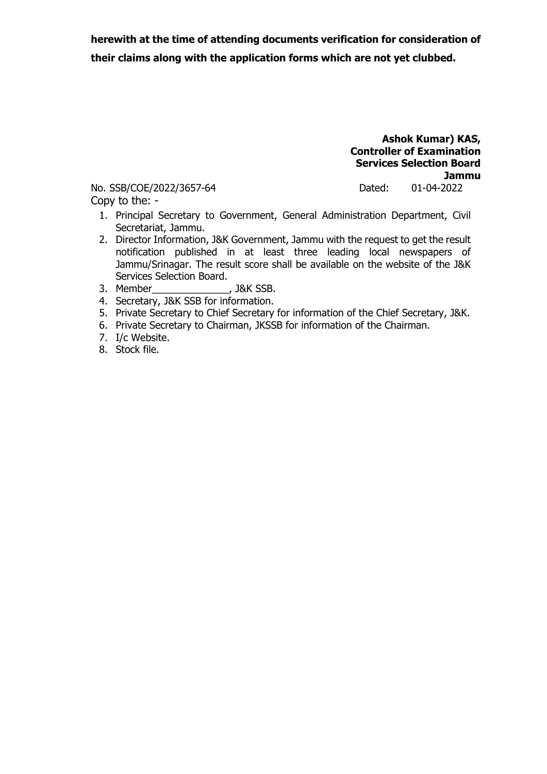**herewith at the time of attending documents verification for consideration of their claims along with the application forms which are not yet clubbed.** 

> **Ashok Kumar) KAS, Controller of Examination Services Selection Board Jammu**

No. SSB/COE/2022/3657-64 Dated: 01-04-2022

Copy to the: -

- 1. Principal Secretary to Government, General Administration Department, Civil Secretariat, Jammu.
- 2. Director Information, J&K Government, Jammu with the request to get the result notification published in at least three leading local newspapers of Jammu/Srinagar. The result score shall be available on the website of the J&K Services Selection Board.
- 3. Member\_\_\_\_\_\_\_\_\_\_\_\_\_\_, J&K SSB.
- 4. Secretary, J&K SSB for information.
- 5. Private Secretary to Chief Secretary for information of the Chief Secretary, J&K.
- 6. Private Secretary to Chairman, JKSSB for information of the Chairman.
- 7. I/c Website.
- 8. Stock file.